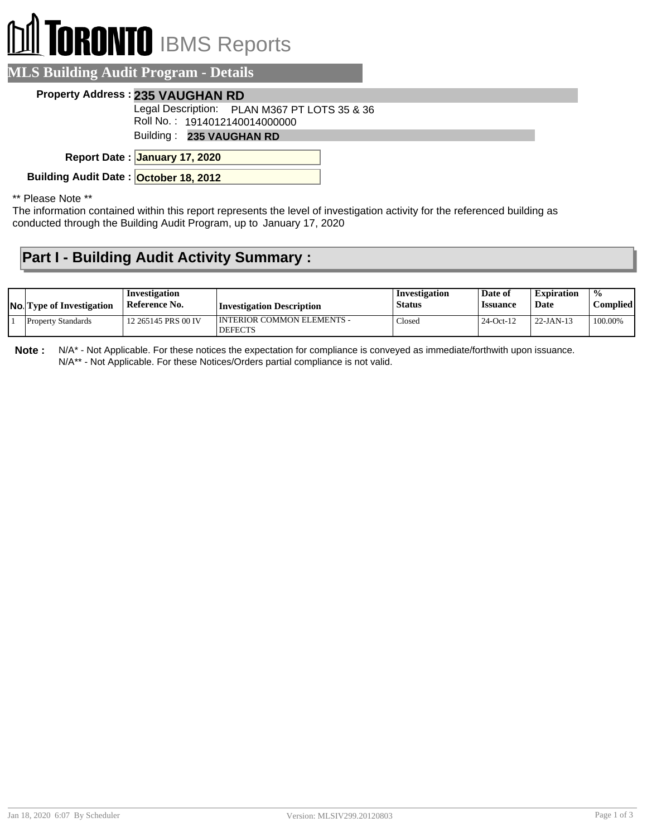# **RONTO** IBMS Reports

### **MLS Building Audit Program - Details**

#### **Property Address : 235 VAUGHAN RD**

Legal Description: PLAN M367 PT LOTS 35 & 36

Roll No. : 1914012140014000000

Building : **235 VAUGHAN RD**

**January 17, 2020 Report Date :**

**Building Audit Date : October 18, 2012**

\*\* Please Note \*\*

The information contained within this report represents the level of investigation activity for the referenced building as conducted through the Building Audit Program, up to January 17, 2020

## **Part I - Building Audit Activity Summary :**

| <b>No.</b> Type of Investigation | Investigation<br>Reference No. | <b>Investigation Description</b>             | Investigation<br><b>Status</b> | Date of<br><b>Issuance</b> | <b>Expiration</b><br>Date | $\frac{0}{0}$<br><b>Complied  </b> |
|----------------------------------|--------------------------------|----------------------------------------------|--------------------------------|----------------------------|---------------------------|------------------------------------|
| <b>Property Standards</b>        | 12 265145 PRS 00 IV            | INTERIOR COMMON ELEMENTS -<br><b>DEFECTS</b> | Closed                         | $24-Oct-12$                | $22-JAN-13$               | 100.00%                            |

**Note :** N/A\* - Not Applicable. For these notices the expectation for compliance is conveyed as immediate/forthwith upon issuance. N/A\*\* - Not Applicable. For these Notices/Orders partial compliance is not valid.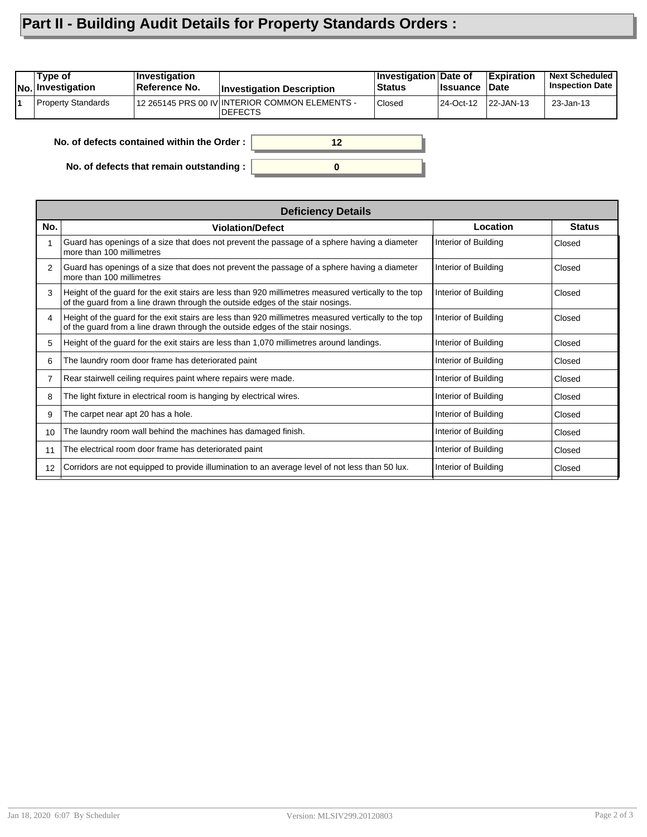# **Part II - Building Audit Details for Property Standards Orders :**

| Type of<br>No. Investigation                     | <b>Investigation</b><br>Reference No. | <b>Investigation Description</b>                                  | Investigation Date of<br><b>Status</b> | <b>Issuance</b> | <b>Expiration</b><br>∣Date | <b>Next Scheduled</b><br><b>Inspection Date</b> |
|--------------------------------------------------|---------------------------------------|-------------------------------------------------------------------|----------------------------------------|-----------------|----------------------------|-------------------------------------------------|
| <b>Property Standards</b>                        |                                       | 12 265145 PRS 00 IV INTERIOR COMMON ELEMENTS -<br><b>IDEFECTS</b> | Closed                                 | 24-Oct-12       | 22-JAN-13                  | 23-Jan-13                                       |
| No. of defects contained within the Order:<br>12 |                                       |                                                                   |                                        |                 |                            |                                                 |

**0**

**No. of defects contained within the Order :**

**No. of defects that remain outstanding :**

|     | <b>Deficiency Details</b>                                                                                                                                                              |                      |               |  |  |  |  |
|-----|----------------------------------------------------------------------------------------------------------------------------------------------------------------------------------------|----------------------|---------------|--|--|--|--|
| No. | <b>Violation/Defect</b>                                                                                                                                                                | Location             | <b>Status</b> |  |  |  |  |
|     | Guard has openings of a size that does not prevent the passage of a sphere having a diameter<br>more than 100 millimetres                                                              | Interior of Building | Closed        |  |  |  |  |
| 2   | Guard has openings of a size that does not prevent the passage of a sphere having a diameter<br>more than 100 millimetres                                                              | Interior of Building | Closed        |  |  |  |  |
| 3   | Height of the guard for the exit stairs are less than 920 millimetres measured vertically to the top<br>of the guard from a line drawn through the outside edges of the stair nosings. | Interior of Building | Closed        |  |  |  |  |
| 4   | Height of the guard for the exit stairs are less than 920 millimetres measured vertically to the top<br>of the guard from a line drawn through the outside edges of the stair nosings. | Interior of Building | Closed        |  |  |  |  |
| 5   | Height of the guard for the exit stairs are less than 1,070 millimetres around landings.                                                                                               | Interior of Building | Closed        |  |  |  |  |
| 6   | The laundry room door frame has deteriorated paint                                                                                                                                     | Interior of Building | Closed        |  |  |  |  |
| 7   | Rear stairwell ceiling requires paint where repairs were made.                                                                                                                         | Interior of Building | Closed        |  |  |  |  |
| 8   | The light fixture in electrical room is hanging by electrical wires.                                                                                                                   | Interior of Building | Closed        |  |  |  |  |
| 9   | The carpet near apt 20 has a hole.                                                                                                                                                     | Interior of Building | Closed        |  |  |  |  |
| 10  | The laundry room wall behind the machines has damaged finish.                                                                                                                          | Interior of Building | Closed        |  |  |  |  |
| 11  | The electrical room door frame has deteriorated paint                                                                                                                                  | Interior of Building | Closed        |  |  |  |  |
| 12  | Corridors are not equipped to provide illumination to an average level of not less than 50 lux.                                                                                        | Interior of Building | Closed        |  |  |  |  |